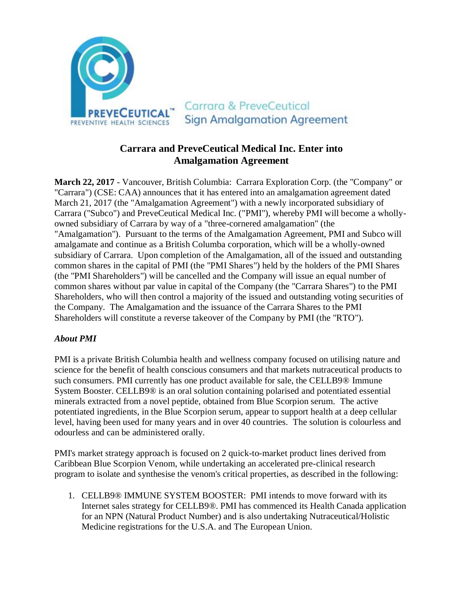

# **Carrara and PreveCeutical Medical Inc. Enter into Amalgamation Agreement**

**March 22, 2017** - Vancouver, British Columbia: Carrara Exploration Corp. (the "Company" or "Carrara") (CSE: CAA) announces that it has entered into an amalgamation agreement dated March 21, 2017 (the "Amalgamation Agreement") with a newly incorporated subsidiary of Carrara ("Subco") and PreveCeutical Medical Inc. ("PMI"), whereby PMI will become a whollyowned subsidiary of Carrara by way of a "three-cornered amalgamation" (the "Amalgamation"). Pursuant to the terms of the Amalgamation Agreement, PMI and Subco will amalgamate and continue as a British Columba corporation, which will be a wholly-owned subsidiary of Carrara. Upon completion of the Amalgamation, all of the issued and outstanding common shares in the capital of PMI (the "PMI Shares") held by the holders of the PMI Shares (the "PMI Shareholders") will be cancelled and the Company will issue an equal number of common shares without par value in capital of the Company (the "Carrara Shares") to the PMI Shareholders, who will then control a majority of the issued and outstanding voting securities of the Company. The Amalgamation and the issuance of the Carrara Shares to the PMI Shareholders will constitute a reverse takeover of the Company by PMI (the "RTO").

### *About PMI*

PMI is a private British Columbia health and wellness company focused on utilising nature and science for the benefit of health conscious consumers and that markets nutraceutical products to such consumers. PMI currently has one product available for sale, the CELLB9<sup>®</sup> Immune System Booster. CELLB9® is an oral solution containing polarised and potentiated essential minerals extracted from a novel peptide, obtained from Blue Scorpion serum. The active potentiated ingredients, in the Blue Scorpion serum, appear to support health at a deep cellular level, having been used for many years and in over 40 countries. The solution is colourless and odourless and can be administered orally.

PMI's market strategy approach is focused on 2 quick-to-market product lines derived from Caribbean Blue Scorpion Venom, while undertaking an accelerated pre-clinical research program to isolate and synthesise the venom's critical properties, as described in the following:

1. CELLB9® IMMUNE SYSTEM BOOSTER: PMI intends to move forward with its Internet sales strategy for CELLB9®. PMI has commenced its Health Canada application for an NPN (Natural Product Number) and is also undertaking Nutraceutical/Holistic Medicine registrations for the U.S.A. and The European Union.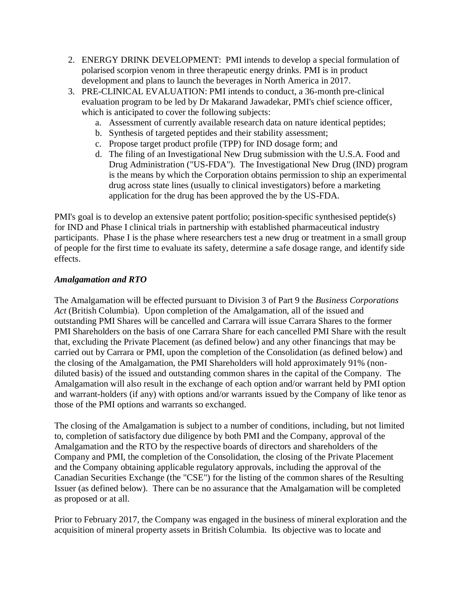- 2. ENERGY DRINK DEVELOPMENT: PMI intends to develop a special formulation of polarised scorpion venom in three therapeutic energy drinks. PMI is in product development and plans to launch the beverages in North America in 2017.
- 3. PRE-CLINICAL EVALUATION: PMI intends to conduct, a 36-month pre-clinical evaluation program to be led by Dr Makarand Jawadekar, PMI's chief science officer, which is anticipated to cover the following subjects:
	- a. Assessment of currently available research data on nature identical peptides;
	- b. Synthesis of targeted peptides and their stability assessment;
	- c. Propose target product profile (TPP) for IND dosage form; and
	- d. The filing of an Investigational New Drug submission with the U.S.A. Food and Drug Administration ("US-FDA"). The Investigational New Drug (IND) program is the means by which the Corporation obtains permission to ship an experimental drug across state lines (usually to clinical investigators) before a marketing application for the drug has been approved the by the US-FDA.

PMI's goal is to develop an extensive patent portfolio; position-specific synthesised peptide(s) for IND and Phase I clinical trials in partnership with established pharmaceutical industry participants. Phase I is the phase where researchers test a new drug or treatment in a small group of people for the first time to evaluate its safety, determine a safe dosage range, and identify side effects.

### *Amalgamation and RTO*

The Amalgamation will be effected pursuant to Division 3 of Part 9 the *Business Corporations Act* (British Columbia). Upon completion of the Amalgamation, all of the issued and outstanding PMI Shares will be cancelled and Carrara will issue Carrara Shares to the former PMI Shareholders on the basis of one Carrara Share for each cancelled PMI Share with the result that, excluding the Private Placement (as defined below) and any other financings that may be carried out by Carrara or PMI, upon the completion of the Consolidation (as defined below) and the closing of the Amalgamation, the PMI Shareholders will hold approximately 91% (nondiluted basis) of the issued and outstanding common shares in the capital of the Company. The Amalgamation will also result in the exchange of each option and/or warrant held by PMI option and warrant-holders (if any) with options and/or warrants issued by the Company of like tenor as those of the PMI options and warrants so exchanged.

The closing of the Amalgamation is subject to a number of conditions, including, but not limited to, completion of satisfactory due diligence by both PMI and the Company, approval of the Amalgamation and the RTO by the respective boards of directors and shareholders of the Company and PMI, the completion of the Consolidation, the closing of the Private Placement and the Company obtaining applicable regulatory approvals, including the approval of the Canadian Securities Exchange (the "CSE") for the listing of the common shares of the Resulting Issuer (as defined below). There can be no assurance that the Amalgamation will be completed as proposed or at all.

Prior to February 2017, the Company was engaged in the business of mineral exploration and the acquisition of mineral property assets in British Columbia. Its objective was to locate and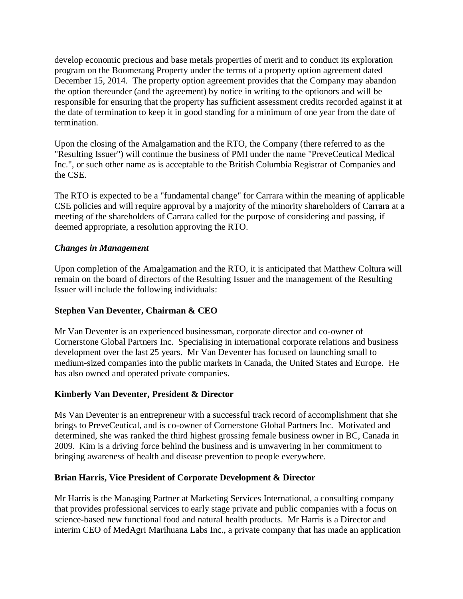develop economic precious and base metals properties of merit and to conduct its exploration program on the Boomerang Property under the terms of a property option agreement dated December 15, 2014. The property option agreement provides that the Company may abandon the option thereunder (and the agreement) by notice in writing to the optionors and will be responsible for ensuring that the property has sufficient assessment credits recorded against it at the date of termination to keep it in good standing for a minimum of one year from the date of termination.

Upon the closing of the Amalgamation and the RTO, the Company (there referred to as the "Resulting Issuer") will continue the business of PMI under the name "PreveCeutical Medical Inc.", or such other name as is acceptable to the British Columbia Registrar of Companies and the CSE.

The RTO is expected to be a "fundamental change" for Carrara within the meaning of applicable CSE policies and will require approval by a majority of the minority shareholders of Carrara at a meeting of the shareholders of Carrara called for the purpose of considering and passing, if deemed appropriate, a resolution approving the RTO.

### *Changes in Management*

Upon completion of the Amalgamation and the RTO, it is anticipated that Matthew Coltura will remain on the board of directors of the Resulting Issuer and the management of the Resulting Issuer will include the following individuals:

### **Stephen Van Deventer, Chairman & CEO**

Mr Van Deventer is an experienced businessman, corporate director and co-owner of Cornerstone Global Partners Inc. Specialising in international corporate relations and business development over the last 25 years. Mr Van Deventer has focused on launching small to medium-sized companies into the public markets in Canada, the United States and Europe. He has also owned and operated private companies.

### **Kimberly Van Deventer, President & Director**

Ms Van Deventer is an entrepreneur with a successful track record of accomplishment that she brings to PreveCeutical, and is co-owner of Cornerstone Global Partners Inc. Motivated and determined, she was ranked the third highest grossing female business owner in BC, Canada in 2009. Kim is a driving force behind the business and is unwavering in her commitment to bringing awareness of health and disease prevention to people everywhere.

### **Brian Harris, Vice President of Corporate Development & Director**

Mr Harris is the Managing Partner at Marketing Services International, a consulting company that provides professional services to early stage private and public companies with a focus on science-based new functional food and natural health products. Mr Harris is a Director and interim CEO of MedAgri Marihuana Labs Inc., a private company that has made an application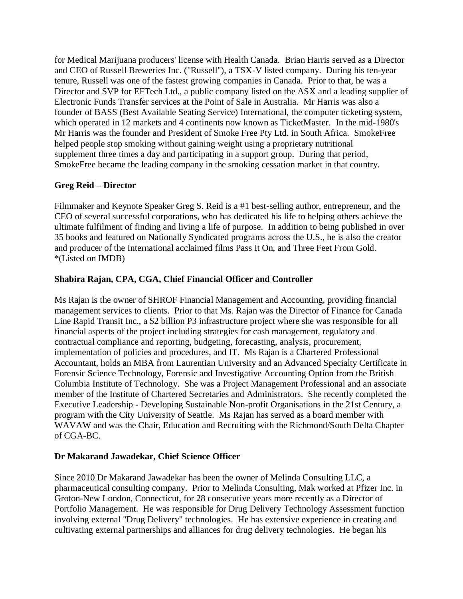for Medical Marijuana producers' license with Health Canada. Brian Harris served as a Director and CEO of Russell Breweries Inc. ("Russell"), a TSX-V listed company. During his ten-year tenure, Russell was one of the fastest growing companies in Canada. Prior to that, he was a Director and SVP for EFTech Ltd., a public company listed on the ASX and a leading supplier of Electronic Funds Transfer services at the Point of Sale in Australia. Mr Harris was also a founder of BASS (Best Available Seating Service) International, the computer ticketing system, which operated in 12 markets and 4 continents now known as TicketMaster. In the mid-1980's Mr Harris was the founder and President of Smoke Free Pty Ltd. in South Africa. SmokeFree helped people stop smoking without gaining weight using a proprietary nutritional supplement three times a day and participating in a support group. During that period, SmokeFree became the leading company in the smoking cessation market in that country.

## **Greg Reid – Director**

Filmmaker and Keynote Speaker Greg S. Reid is a #1 best-selling author, entrepreneur, and the CEO of several successful corporations, who has dedicated his life to helping others achieve the ultimate fulfilment of finding and living a life of purpose. In addition to being published in over 35 books and featured on Nationally Syndicated programs across the U.S., he is also the creator and producer of the International acclaimed films Pass It On, and Three Feet From Gold. \*(Listed on IMDB)

## **Shabira Rajan, CPA, CGA, Chief Financial Officer and Controller**

Ms Rajan is the owner of SHROF Financial Management and Accounting, providing financial management services to clients. Prior to that Ms. Rajan was the Director of Finance for Canada Line Rapid Transit Inc., a \$2 billion P3 infrastructure project where she was responsible for all financial aspects of the project including strategies for cash management, regulatory and contractual compliance and reporting, budgeting, forecasting, analysis, procurement, implementation of policies and procedures, and IT. Ms Rajan is a Chartered Professional Accountant, holds an MBA from Laurentian University and an Advanced Specialty Certificate in Forensic Science Technology, Forensic and Investigative Accounting Option from the British Columbia Institute of Technology. She was a Project Management Professional and an associate member of the Institute of Chartered Secretaries and Administrators. She recently completed the Executive Leadership - Developing Sustainable Non-profit Organisations in the 21st Century, a program with the City University of Seattle. Ms Rajan has served as a board member with WAVAW and was the Chair, Education and Recruiting with the Richmond/South Delta Chapter of CGA-BC.

### **Dr Makarand Jawadekar, Chief Science Officer**

Since 2010 Dr Makarand Jawadekar has been the owner of Melinda Consulting LLC, a pharmaceutical consulting company. Prior to Melinda Consulting, Mak worked at Pfizer Inc. in Groton-New London, Connecticut, for 28 consecutive years more recently as a Director of Portfolio Management. He was responsible for Drug Delivery Technology Assessment function involving external "Drug Delivery" technologies. He has extensive experience in creating and cultivating external partnerships and alliances for drug delivery technologies. He began his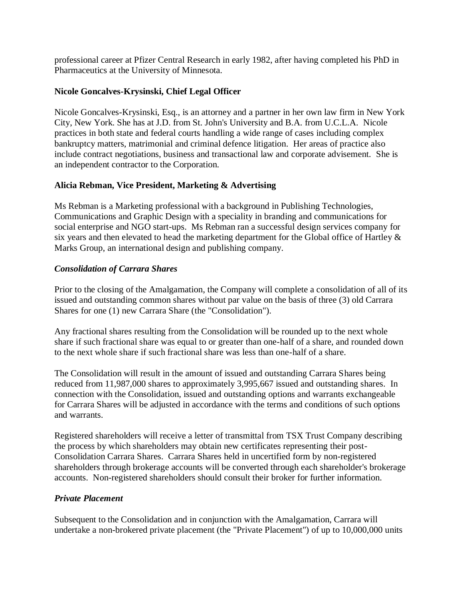professional career at Pfizer Central Research in early 1982, after having completed his PhD in Pharmaceutics at the University of Minnesota.

#### **Nicole Goncalves-Krysinski, Chief Legal Officer**

Nicole Goncalves-Krysinski, Esq., is an attorney and a partner in her own law firm in New York City, New York. She has at J.D. from St. John's University and B.A. from U.C.L.A. Nicole practices in both state and federal courts handling a wide range of cases including complex bankruptcy matters, matrimonial and criminal defence litigation. Her areas of practice also include contract negotiations, business and transactional law and corporate advisement. She is an independent contractor to the Corporation.

### **Alicia Rebman, Vice President, Marketing & Advertising**

Ms Rebman is a Marketing professional with a background in Publishing Technologies, Communications and Graphic Design with a speciality in branding and communications for social enterprise and NGO start-ups. Ms Rebman ran a successful design services company for six years and then elevated to head the marketing department for the Global office of Hartley  $\&$ Marks Group, an international design and publishing company.

### *Consolidation of Carrara Shares*

Prior to the closing of the Amalgamation, the Company will complete a consolidation of all of its issued and outstanding common shares without par value on the basis of three (3) old Carrara Shares for one (1) new Carrara Share (the "Consolidation").

Any fractional shares resulting from the Consolidation will be rounded up to the next whole share if such fractional share was equal to or greater than one-half of a share, and rounded down to the next whole share if such fractional share was less than one-half of a share.

The Consolidation will result in the amount of issued and outstanding Carrara Shares being reduced from 11,987,000 shares to approximately 3,995,667 issued and outstanding shares. In connection with the Consolidation, issued and outstanding options and warrants exchangeable for Carrara Shares will be adjusted in accordance with the terms and conditions of such options and warrants.

Registered shareholders will receive a letter of transmittal from TSX Trust Company describing the process by which shareholders may obtain new certificates representing their post-Consolidation Carrara Shares. Carrara Shares held in uncertified form by non-registered shareholders through brokerage accounts will be converted through each shareholder's brokerage accounts. Non-registered shareholders should consult their broker for further information.

#### *Private Placement*

Subsequent to the Consolidation and in conjunction with the Amalgamation, Carrara will undertake a non-brokered private placement (the "Private Placement") of up to 10,000,000 units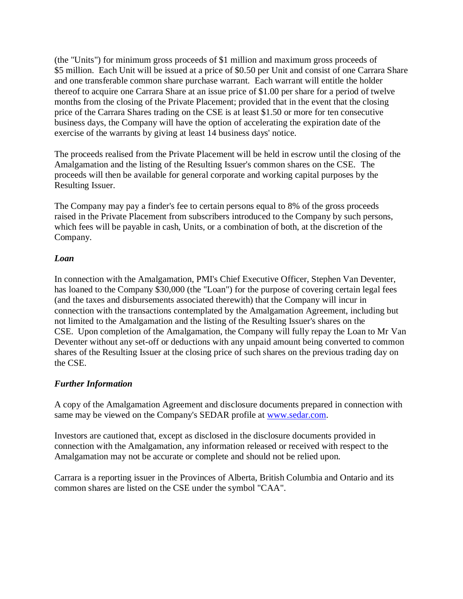(the "Units") for minimum gross proceeds of \$1 million and maximum gross proceeds of \$5 million. Each Unit will be issued at a price of \$0.50 per Unit and consist of one Carrara Share and one transferable common share purchase warrant. Each warrant will entitle the holder thereof to acquire one Carrara Share at an issue price of \$1.00 per share for a period of twelve months from the closing of the Private Placement; provided that in the event that the closing price of the Carrara Shares trading on the CSE is at least \$1.50 or more for ten consecutive business days, the Company will have the option of accelerating the expiration date of the exercise of the warrants by giving at least 14 business days' notice.

The proceeds realised from the Private Placement will be held in escrow until the closing of the Amalgamation and the listing of the Resulting Issuer's common shares on the CSE. The proceeds will then be available for general corporate and working capital purposes by the Resulting Issuer.

The Company may pay a finder's fee to certain persons equal to 8% of the gross proceeds raised in the Private Placement from subscribers introduced to the Company by such persons, which fees will be payable in cash, Units, or a combination of both, at the discretion of the Company.

#### *Loan*

In connection with the Amalgamation, PMI's Chief Executive Officer, Stephen Van Deventer, has loaned to the Company \$30,000 (the "Loan") for the purpose of covering certain legal fees (and the taxes and disbursements associated therewith) that the Company will incur in connection with the transactions contemplated by the Amalgamation Agreement, including but not limited to the Amalgamation and the listing of the Resulting Issuer's shares on the CSE. Upon completion of the Amalgamation, the Company will fully repay the Loan to Mr Van Deventer without any set-off or deductions with any unpaid amount being converted to common shares of the Resulting Issuer at the closing price of such shares on the previous trading day on the CSE.

### *Further Information*

A copy of the Amalgamation Agreement and disclosure documents prepared in connection with same may be viewed on the Company's SEDAR profile at [www.sedar.com.](http://www.sedar.com/DisplayProfile.do?lang=EN&issuerType=03&issuerNo=00039795)

Investors are cautioned that, except as disclosed in the disclosure documents provided in connection with the Amalgamation, any information released or received with respect to the Amalgamation may not be accurate or complete and should not be relied upon.

Carrara is a reporting issuer in the Provinces of Alberta, British Columbia and Ontario and its common shares are listed on the CSE under the symbol "CAA".